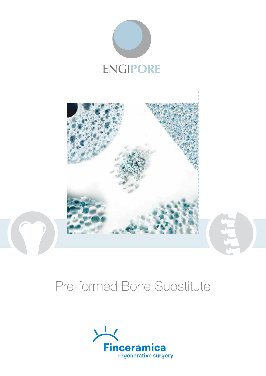



# Pre-formed Bone Substitute

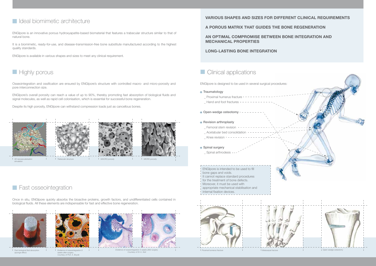## **In Ideal biomimetic architecture**

ENGIpore is an innovative porous hydroxyapatite-based biomaterial that features a trabecular structure similar to that of natural bone.

It is a biomimetic, ready-for-use, and disease-transmission-free bone substitute manufactured according to the highest quality standards.

ENGIpore is available in various shapes and sizes to meet any clinical requirement.

# **Highly porous**

Osseointegration and ossification are ensured by ENGIpore's structure with controlled macro- and micro-porosity and pore interconnection size.

ENGIpore's overall porosity can reach a value of up to 90%, thereby promoting fast absorption of biological fluids and signal molecules, as well as rapid cell colonisation, which is essential for successful bone regeneration.

- Proximal humerus fracture
- Hand and foot fractures
- · Open-wedge osteotomy

### • Revision arthroplasty

Despite its high porosity, ENGIpore can withstand compression loads just as cancellous bones.

Once in situ, ENGIpore quickly absorbs the bioactive proteins, growth factors, and undifferentiated cells contained in biological fluids. All these elements are indispensable for fast and effective bone regeneration.



## **VARIOUS SHAPES AND SIZES FOR DIFFERENT CLINICAL REQUIREMENTS**

- Femoral stem revision Acetabular bed consolidation \_ Knee revision
- Spinal surgery Spinal arthrodesis
- ENGIpore is intended to be used to fill
- bone gaps and voids.
- It cannot replace standard procedures
- for the treatment of bone defects.
- Moreover, it must be used with
- appropriate mechanical stabilisation and
- internal fixation devices.

**A POROUS MATRIX THAT GUIDES THE BONE REGENERATION**

**AN OPTIMAL COMPROMISE BETWEEN BONE INTEGRATION AND MECHANICAL PROPERTIES**

### **LONG-LASTING BONE INTEGRATION**

## **Clinical applications**





*Fast biological fluid absorption*

*(sponge effect)*



ENGIpore is designed to be used in several surgical procedures:

### **• Traumatology**





**Fast osseointegration** 







*Evidence of osseointegration 4 weeks after surgery. Courtesy of Dr A. Sisti*